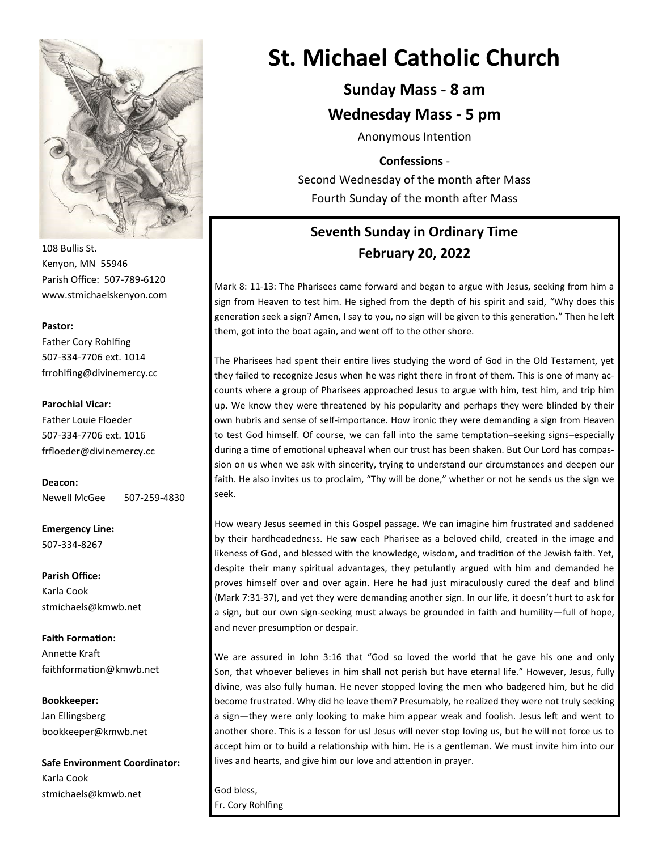

108 Bullis St. Kenyon, MN 55946 Parish Office: 507-789-6120 www.stmichaelskenyon.com

#### **Pastor:**

Father Cory Rohlfing 507-334-7706 ext. 1014 frrohlfing@divinemercy.cc

#### **Parochial Vicar:**

Father Louie Floeder 507-334-7706 ext. 1016 frfloeder@divinemercy.cc

**Deacon:**  Newell McGee 507-259-4830

**Emergency Line:** 507-334-8267

**Parish Office:**  Karla Cook stmichaels@kmwb.net

**Faith Formation:**  Annette Kraft faithformation@kmwb.net

**Bookkeeper:**  Jan Ellingsberg bookkeeper@kmwb.net

**Safe Environment Coordinator:** Karla Cook stmichaels@kmwb.net

# **St. Michael Catholic Church**

## **Sunday Mass - 8 am**

#### **Wednesday Mass - 5 pm**

Anonymous Intention

#### **Confessions** -

Second Wednesday of the month after Mass Fourth Sunday of the month after Mass

## **Seventh Sunday in Ordinary Time February 20, 2022**

Mark 8: 11-13: The Pharisees came forward and began to argue with Jesus, seeking from him a sign from Heaven to test him. He sighed from the depth of his spirit and said, "Why does this generation seek a sign? Amen, I say to you, no sign will be given to this generation." Then he left them, got into the boat again, and went off to the other shore.

The Pharisees had spent their entire lives studying the word of God in the Old Testament, yet they failed to recognize Jesus when he was right there in front of them. This is one of many accounts where a group of Pharisees approached Jesus to argue with him, test him, and trip him up. We know they were threatened by his popularity and perhaps they were blinded by their own hubris and sense of self-importance. How ironic they were demanding a sign from Heaven to test God himself. Of course, we can fall into the same temptation–seeking signs–especially during a time of emotional upheaval when our trust has been shaken. But Our Lord has compassion on us when we ask with sincerity, trying to understand our circumstances and deepen our faith. He also invites us to proclaim, "Thy will be done," whether or not he sends us the sign we seek.

How weary Jesus seemed in this Gospel passage. We can imagine him frustrated and saddened by their hardheadedness. He saw each Pharisee as a beloved child, created in the image and likeness of God, and blessed with the knowledge, wisdom, and tradition of the Jewish faith. Yet, despite their many spiritual advantages, they petulantly argued with him and demanded he proves himself over and over again. Here he had just miraculously cured the deaf and blind (Mark 7:31-37), and yet they were demanding another sign. In our life, it doesn't hurt to ask for a sign, but our own sign-seeking must always be grounded in faith and humility—full of hope, and never presumption or despair.

We are assured in John 3:16 that "God so loved the world that he gave his one and only Son, that whoever believes in him shall not perish but have eternal life." However, Jesus, fully divine, was also fully human. He never stopped loving the men who badgered him, but he did become frustrated. Why did he leave them? Presumably, he realized they were not truly seeking a sign—they were only looking to make him appear weak and foolish. Jesus left and went to another shore. This is a lesson for us! Jesus will never stop loving us, but he will not force us to accept him or to build a relationship with him. He is a gentleman. We must invite him into our lives and hearts, and give him our love and attention in prayer.

God bless, Fr. Cory Rohlfing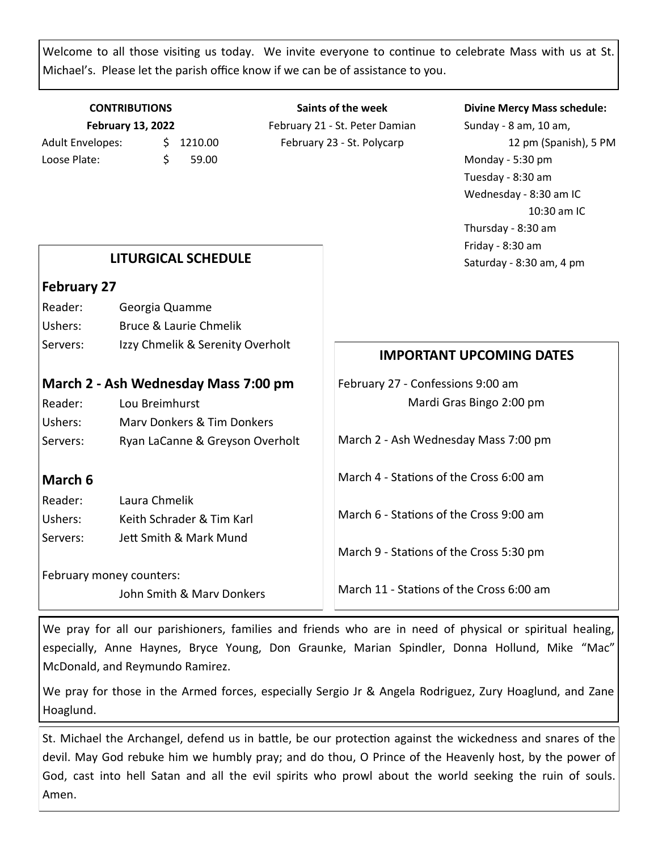Welcome to all those visiting us today. We invite everyone to continue to celebrate Mass with us at St. Michael's. Please let the parish office know if we can be of assistance to you.

#### **CONTRIBUTIONS February 13, 2022** Adult Envelopes:  $\frac{1}{2}$  1210.00

Loose Plate: \$ 59.00

**Saints of the week** February 21 - St. Peter Damian February 23 - St. Polycarp

#### **Divine Mercy Mass schedule:**

Sunday - 8 am, 10 am, 12 pm (Spanish), 5 PM Monday - 5:30 pm Tuesday - 8:30 am Wednesday - 8:30 am IC 10:30 am IC Thursday - 8:30 am Friday - 8:30 am Saturday - 8:30 am, 4 pm

#### **LITURGICAL SCHEDULE**

#### **February 27**

| Reader:  | Georgia Quamme                   |
|----------|----------------------------------|
| Ushers:  | Bruce & Laurie Chmelik           |
| Servers: | Izzy Chmelik & Serenity Overholt |

#### **March 2 - Ash Wednesday Mass 7:00 pm**

| Reader:  | Lou Breimhurst                  |
|----------|---------------------------------|
| Ushers:  | Mary Donkers & Tim Donkers      |
| Servers: | Ryan LaCanne & Greyson Overholt |

#### **March 6**

| Reader:  | Laura Chmelik             |
|----------|---------------------------|
| Ushers:  | Keith Schrader & Tim Karl |
| Servers: | Jett Smith & Mark Mund    |

February money counters:

John Smith & Marv Donkers

#### **IMPORTANT UPCOMING DATES**

February 27 - Confessions 9:00 am Mardi Gras Bingo 2:00 pm

March 2 - Ash Wednesday Mass 7:00 pm

March 4 - Stations of the Cross 6:00 am

March 6 - Stations of the Cross 9:00 am

March 9 - Stations of the Cross 5:30 pm

March 11 - Stations of the Cross 6:00 am

We pray for all our parishioners, families and friends who are in need of physical or spiritual healing, especially, Anne Haynes, Bryce Young, Don Graunke, Marian Spindler, Donna Hollund, Mike "Mac" McDonald, and Reymundo Ramirez.

We pray for those in the Armed forces, especially Sergio Jr & Angela Rodriguez, Zury Hoaglund, and Zane Hoaglund.

St. Michael the Archangel, defend us in battle, be our protection against the wickedness and snares of the devil. May God rebuke him we humbly pray; and do thou, O Prince of the Heavenly host, by the power of God, cast into hell Satan and all the evil spirits who prowl about the world seeking the ruin of souls. Amen.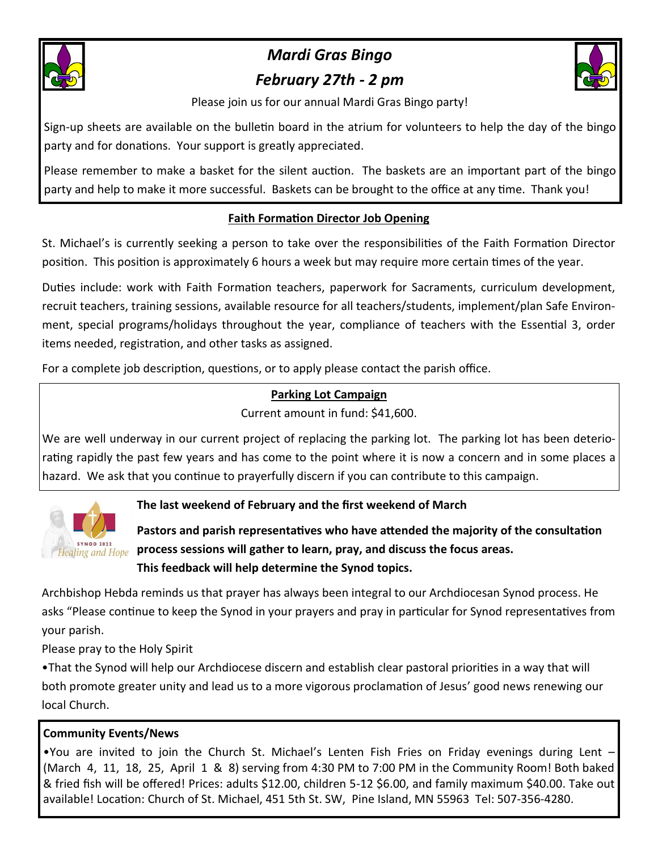

# *Mardi Gras Bingo February 27th - 2 pm*



Please join us for our annual Mardi Gras Bingo party!

Sign-up sheets are available on the bulletin board in the atrium for volunteers to help the day of the bingo party and for donations. Your support is greatly appreciated.

Please remember to make a basket for the silent auction. The baskets are an important part of the bingo party and help to make it more successful. Baskets can be brought to the office at any time. Thank you!

## **Faith Formation Director Job Opening**

St. Michael's is currently seeking a person to take over the responsibilities of the Faith Formation Director position. This position is approximately 6 hours a week but may require more certain times of the year.

Duties include: work with Faith Formation teachers, paperwork for Sacraments, curriculum development, recruit teachers, training sessions, available resource for all teachers/students, implement/plan Safe Environment, special programs/holidays throughout the year, compliance of teachers with the Essential 3, order items needed, registration, and other tasks as assigned.

For a complete job description, questions, or to apply please contact the parish office.

## **Parking Lot Campaign**

Current amount in fund: \$41,600.

We are well underway in our current project of replacing the parking lot. The parking lot has been deteriorating rapidly the past few years and has come to the point where it is now a concern and in some places a hazard. We ask that you continue to prayerfully discern if you can contribute to this campaign.



## **The last weekend of February and the first weekend of March**

**Pastors and parish representatives who have attended the majority of the consultation process sessions will gather to learn, pray, and discuss the focus areas. This feedback will help determine the Synod topics.**

Archbishop Hebda reminds us that prayer has always been integral to our Archdiocesan Synod process. He asks "Please continue to keep the Synod in your prayers and pray in particular for Synod representatives from your parish.

Please pray to the Holy Spirit

•That the Synod will help our Archdiocese discern and establish clear pastoral priorities in a way that will both promote greater unity and lead us to a more vigorous proclamation of Jesus' good news renewing our local Church.

#### **Community Events/News**

•You are invited to join the Church St. Michael's Lenten Fish Fries on Friday evenings during Lent – (March 4, 11, 18, 25, April 1 & 8) serving from 4:30 PM to 7:00 PM in the Community Room! Both baked & fried fish will be offered! Prices: adults \$12.00, children 5-12 \$6.00, and family maximum \$40.00. Take out available! Location: Church of St. Michael, 451 5th St. SW, Pine Island, MN 55963 Tel: 507-356-4280.